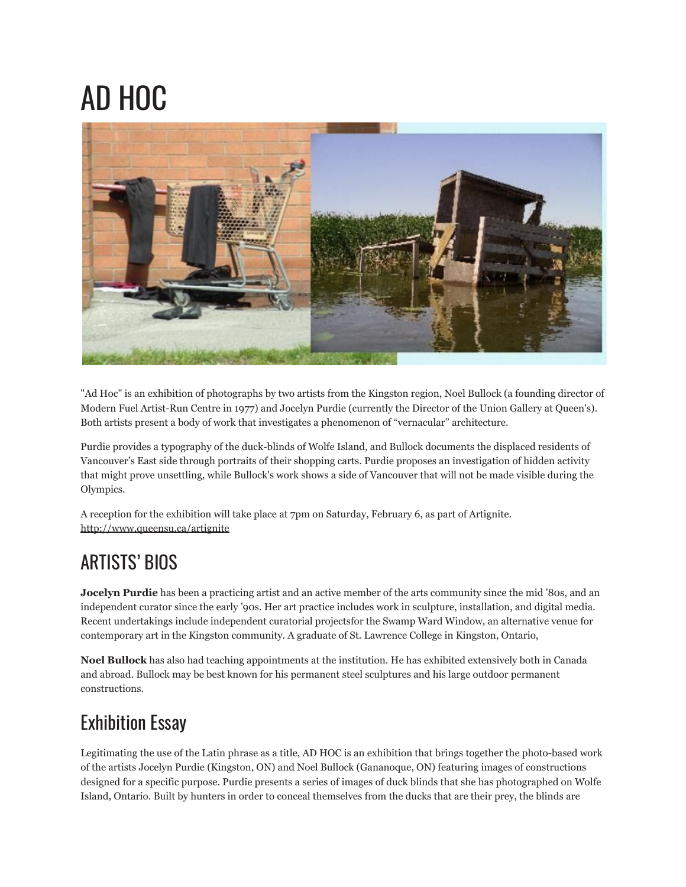## AD HOC



"Ad Hoc" is an exhibition of photographs by two artists from the Kingston region, Noel Bullock (a founding director of Modern Fuel Artist-Run Centre in 1977) and Jocelyn Purdie (currently the Director of the Union Gallery at Queen's). Both artists present a body of work that investigates a phenomenon of "vernacular" architecture.

Purdie provides a typography of the duck-blinds of Wolfe Island, and Bullock documents the displaced residents of Vancouver's East side through portraits of their shopping carts. Purdie proposes an investigation of hidden activity that might prove unsettling, while Bullock's work shows a side of Vancouver that will not be made visible during the Olympics.

A reception for the exhibition will take place at 7pm on Saturday, February 6, as part of Artignite. <http://www.queensu.ca/artignite>

## ARTISTS' BIOS

**Jocelyn Purdie** has been a practicing artist and an active member of the arts community since the mid '80s, and an independent curator since the early '90s. Her art practice includes work in sculpture, installation, and digital media. Recent undertakings include independent curatorial projectsfor the Swamp Ward Window, an alternative venue for contemporary art in the Kingston community. A graduate of St. Lawrence College in Kingston, Ontario,

**Noel Bullock** has also had teaching appointments at the institution. He has exhibited extensively both in Canada and abroad. Bullock may be best known for his permanent steel sculptures and his large outdoor permanent constructions.

## Exhibition Essay

Legitimating the use of the Latin phrase as a title, AD HOC is an exhibition that brings together the photo-based work of the artists Jocelyn Purdie (Kingston, ON) and Noel Bullock (Gananoque, ON) featuring images of constructions designed for a specific purpose. Purdie presents a series of images of duck blinds that she has photographed on Wolfe Island, Ontario. Built by hunters in order to conceal themselves from the ducks that are their prey, the blinds are